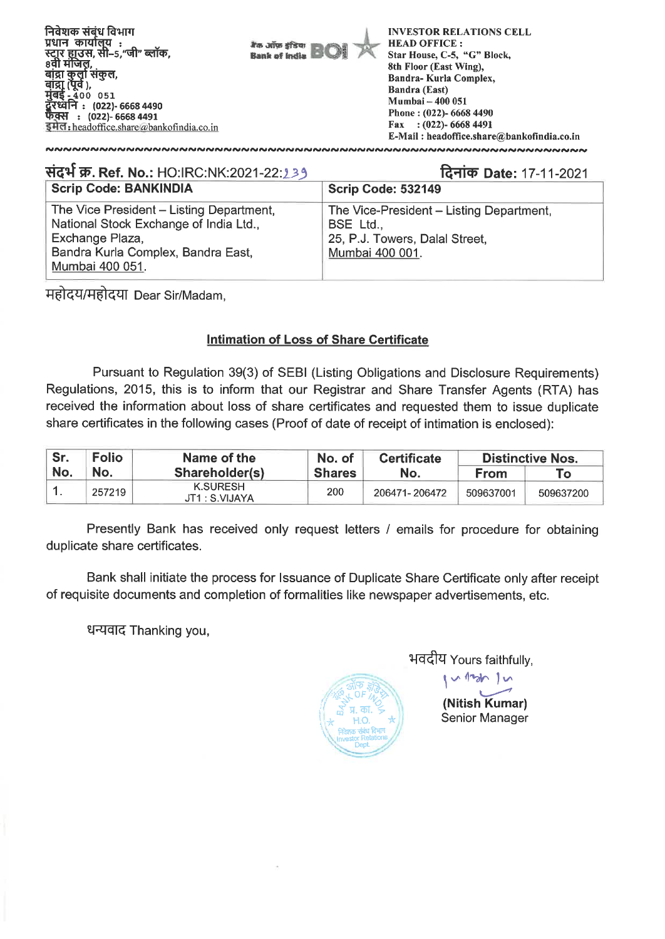**निवेशक संबंध विभाग INVESTOR RELATIONS CELL**  <u>**ITHE** *i***ndicial**</u> **HEAD OFFICE :**  I'm arius efficus .<br>गुर हाउस, सी-5,"जी" ब्लॉक. **Star House, C-5, "G" Block, Bank of India** . . . . . . . . .<br>8वी मंजिल, **8th Floor (East Wing),**  बांद्रा कुर्ता संकुल, **Bandra- Kuria Complex, (पूव** ),<br>- 400 051 **Sandra (East) Mumbai — 400 051 MEfft : (022)- 6668 4490 Phone : (022)- 6668 4490 : (022)- 6668 4491 Fax : (022)- 6668 4491**   $\overline{z}$ Headoffice.share@bankofindia.co.in **E-Mail : headoffice.share@bankofindia.co.in**  

**Scrip Code: BANKINDIA Scrip Code: 532149** The Vice President — Listing Department, National Stock Exchange of India Ltd., Exchange Plaza, Bandra Kurla Complex, Bandra East, Mumbai 400 051. The Vice-President — Listing Department, BSE Ltd., 25, P.J. Towers, Dalal Street, Mumbai 400 001. **itPf W. Ref. No.:** HO:IRC:NK:2021-22:133 **1.4licp Date:** 17-11-2021

महोदय/महोदया Dear Sir/Madam,

## **Intimation of Loss of Share Certificate**

Pursuant to Regulation 39(3) of SEBI (Listing Obligations and Disclosure Requirements) Regulations, 2015, this is to inform that our Registrar and Share Transfer Agents (RTA) has received the information about loss of share certificates and requested them to issue duplicate share certificates in the following cases (Proof of date of receipt of intimation is enclosed):

| Sr. | <b>Folio</b> | Name of the                       | No. of        | <b>Certificate</b> | <b>Distinctive Nos.</b> |           |  |
|-----|--------------|-----------------------------------|---------------|--------------------|-------------------------|-----------|--|
| No. | 'No.         | Shareholder(s)                    | <b>Shares</b> |                    | From                    | Тο        |  |
|     | 257219       | <b>K.SURESH</b><br>JT1 : S.VIJAYA | 200           | 206471-206472      | 509637001               | 509637200 |  |

Presently Bank has received only request letters / emails for procedure for obtaining duplicate share certificates.

Bank shall initiate the process for Issuance of Duplicate Share Certificate only after receipt of requisite documents and completion of formalities like newspaper advertisements, etc.

धन्यवाद Thanking you,



भवदीय Yours faithfully,

**(Nitish Kumar)**  Senior Manager

 $10$   $\sim$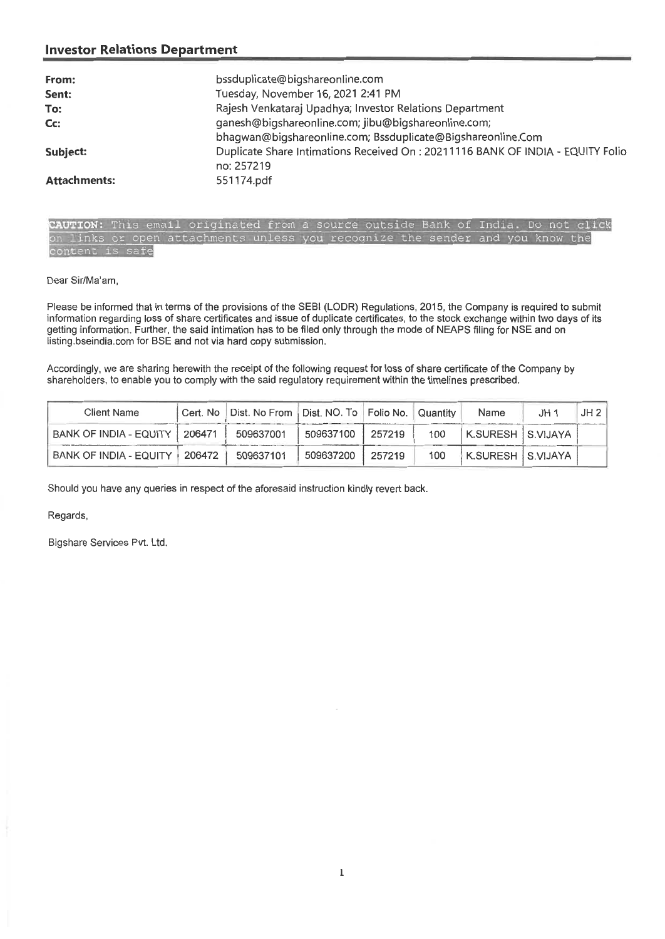## **Investor Relations Department**

| From:               | bssduplicate@bigshareonline.com                                                |
|---------------------|--------------------------------------------------------------------------------|
| Sent:               | Tuesday, November 16, 2021 2:41 PM                                             |
| To:                 | Rajesh Venkataraj Upadhya; Investor Relations Department                       |
| Cc:                 | ganesh@bigshareonline.com; jibu@bigshareonline.com;                            |
|                     | bhagwan@bigshareonline.com; Bssduplicate@Bigshareonline.Com                    |
| Subject:            | Duplicate Share Intimations Received On: 20211116 BANK OF INDIA - EQUITY Folio |
|                     | no: 257219                                                                     |
| <b>Attachments:</b> | 551174.pdf                                                                     |

| CAUTION: This email originated from a source outside Bank of India. Do not click |  |  |  |  |  |  |  |  |
|----------------------------------------------------------------------------------|--|--|--|--|--|--|--|--|
| on links or open attachments unless you recognize the sender and you know the    |  |  |  |  |  |  |  |  |
| content is safe                                                                  |  |  |  |  |  |  |  |  |

Dear Sir/Ma'am,

Please be informed that in terms of the provisions of the SEBI (LODR) Regulations, 2015, the Company is required to submit information regarding loss of share certificates and issue of duplicate certificates, to the stock exchange within two days of its getting information. Further, the said intimation has to be filed only through the mode of NEAPS filing for NSE and on listing.bseindia.com for BSE and not via hard copy submission.

Accordingly, we are sharing herewith the receipt of the following request for loss of share certificate of the Company by shareholders, to enable you to comply with the said regulatory requirement within the timelines prescribed.

| Client Name                   | Cert. No | Dist. No From   Dist. NO. To   Folio No. |           |        | Quantity | Name                 | JH 1 | JH2 |
|-------------------------------|----------|------------------------------------------|-----------|--------|----------|----------------------|------|-----|
| <b>BANK OF INDIA - EQUITY</b> | 206471   | 509637001                                | 509637100 | 257219 | 100      | ' K.SURESH ∣S.VIJAYA |      |     |
| BANK OF INDIA - EQUITY        | 206472   | 509637101                                | 509637200 | 257219 | 100      | K.SURESH   S.VIJAYA  |      |     |

Should you have any queries in respect of the aforesaid instruction kindly revert back.

Regards,

Bigshare Services Pvt. Ltd.